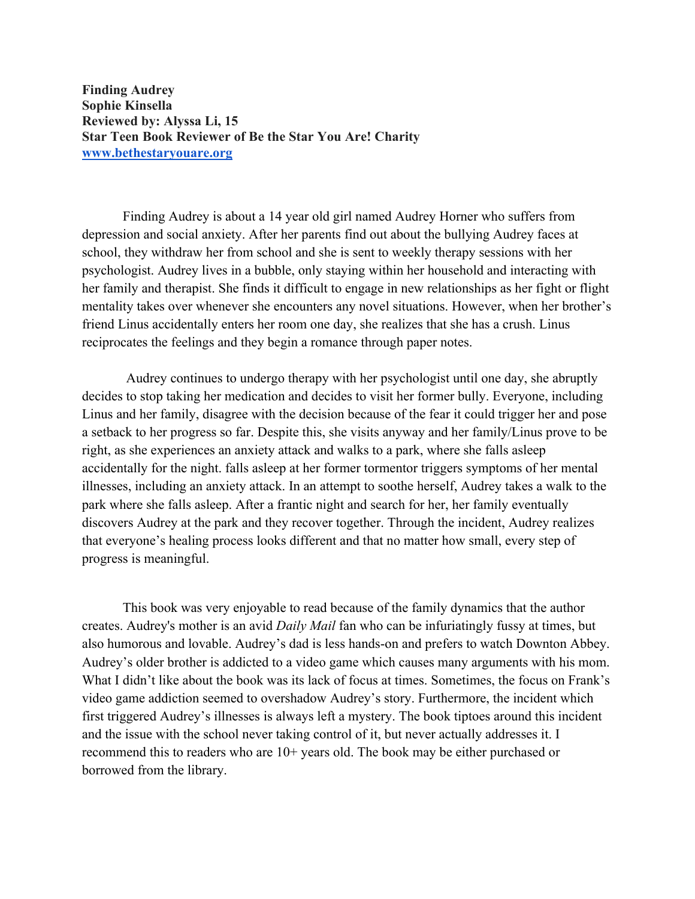**Finding Audrey Sophie Kinsella Reviewed by: Alyssa Li, 15 Star Teen Book Reviewer of Be the Star You Are! Charity www.bethestaryouare.org**

Finding Audrey is about a 14 year old girl named Audrey Horner who suffers from depression and social anxiety. After her parents find out about the bullying Audrey faces at school, they withdraw her from school and she is sent to weekly therapy sessions with her psychologist. Audrey lives in a bubble, only staying within her household and interacting with her family and therapist. She finds it difficult to engage in new relationships as her fight or flight mentality takes over whenever she encounters any novel situations. However, when her brother's friend Linus accidentally enters her room one day, she realizes that she has a crush. Linus reciprocates the feelings and they begin a romance through paper notes.

Audrey continues to undergo therapy with her psychologist until one day, she abruptly decides to stop taking her medication and decides to visit her former bully. Everyone, including Linus and her family, disagree with the decision because of the fear it could trigger her and pose a setback to her progress so far. Despite this, she visits anyway and her family/Linus prove to be right, as she experiences an anxiety attack and walks to a park, where she falls asleep accidentally for the night. falls asleep at her former tormentor triggers symptoms of her mental illnesses, including an anxiety attack. In an attempt to soothe herself, Audrey takes a walk to the park where she falls asleep. After a frantic night and search for her, her family eventually discovers Audrey at the park and they recover together. Through the incident, Audrey realizes that everyone's healing process looks different and that no matter how small, every step of progress is meaningful.

This book was very enjoyable to read because of the family dynamics that the author creates. Audrey's mother is an avid *Daily Mail* fan who can be infuriatingly fussy at times, but also humorous and lovable. Audrey's dad is less hands-on and prefers to watch Downton Abbey. Audrey's older brother is addicted to a video game which causes many arguments with his mom. What I didn't like about the book was its lack of focus at times. Sometimes, the focus on Frank's video game addiction seemed to overshadow Audrey's story. Furthermore, the incident which first triggered Audrey's illnesses is always left a mystery. The book tiptoes around this incident and the issue with the school never taking control of it, but never actually addresses it. I recommend this to readers who are 10+ years old. The book may be either purchased or borrowed from the library.